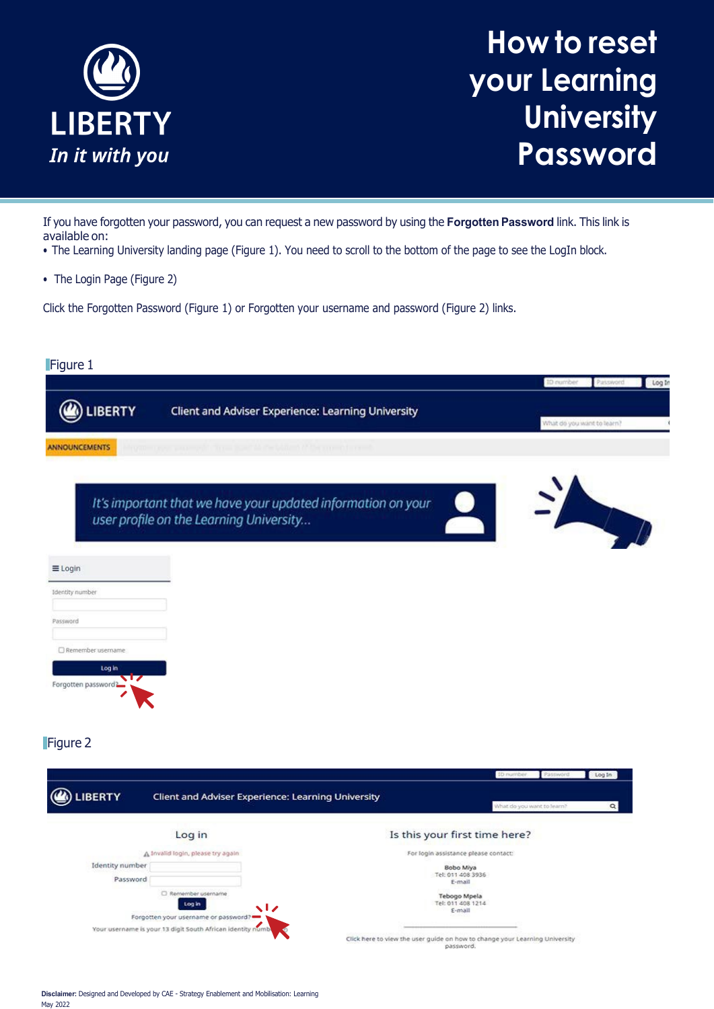

## **How to reset your Learning University Password**

If you have forgotten your password, you can request a new password by using the **Forgotten Password** link. This link is available on:

- The Learning University landing page (Figure 1). You need to scroll to the bottom of the page to see the LogIn block.
- The Login Page (Figure 2)

Click the Forgotten Password (Figure 1) or Forgotten your username and password (Figure 2) links.

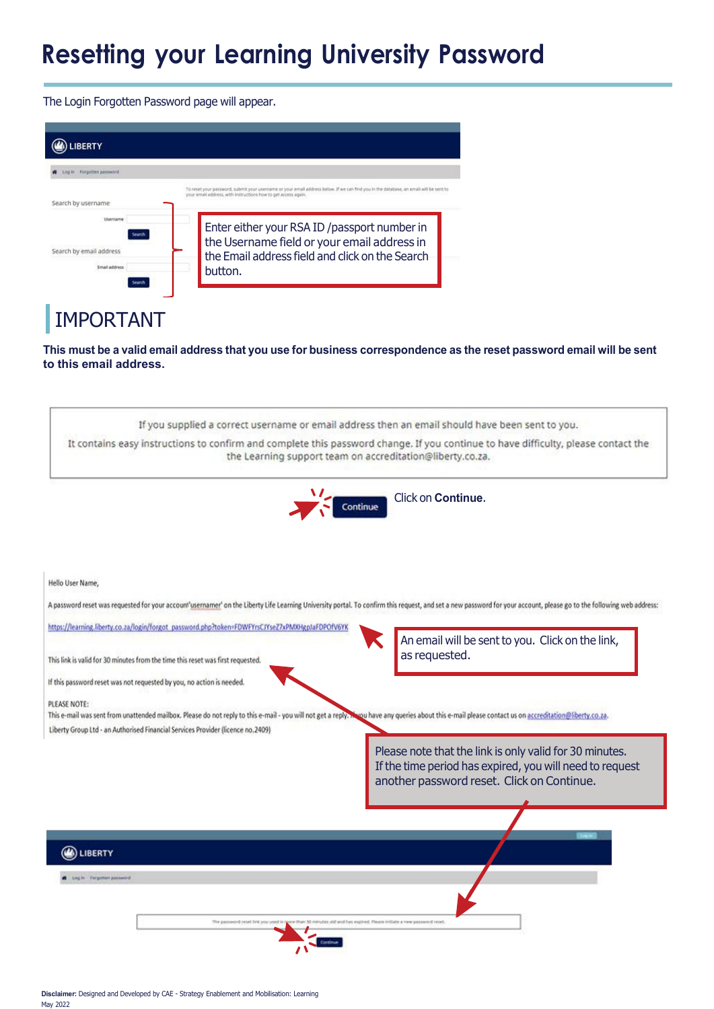## **Resetting your Learning University Password**

The Login Forgotten Password page will appear.

| <b>BERTY</b>                                         |                                                                                                                                                                                                  |
|------------------------------------------------------|--------------------------------------------------------------------------------------------------------------------------------------------------------------------------------------------------|
| Log in Forgotten password                            |                                                                                                                                                                                                  |
| Search by username                                   | To reset your password, submit your username or your email address below. If we can find you in the database, an email will be<br>your email address, with instructions how to get access again. |
| Usernami<br>Search by email address<br>Email address | Enter either your RSA ID /passport number in<br>the Username field or your email address in<br>the Email address field and click on the Search<br>button.                                        |
| IMPORTANT                                            |                                                                                                                                                                                                  |

This must be a valid email address that you use for business correspondence as the reset password email will be sent **to this email address.**